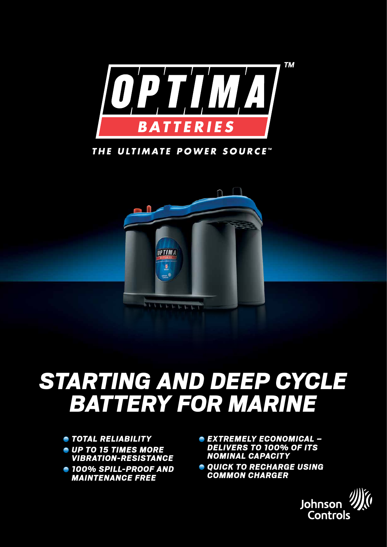

THE ULTIMATE POWER SOURCE"



## *Starting and deep cycle batterY for marine*

- *Total reliability*
- *up to 15 times more vibration-resistance*
- *100% spill-proof and maintenance free*
- *extremely economical delivers to 100% of its nominal capacity*
- $Q$  *Quick to recharge using common charger*